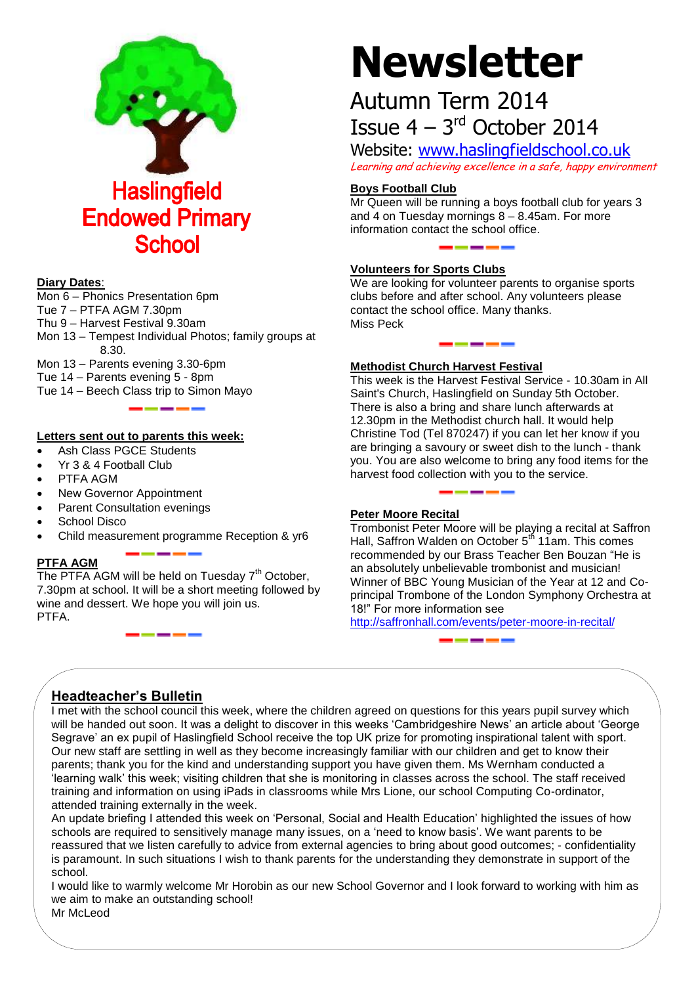

#### **Diary Dates**:

Mon 6 – Phonics Presentation 6pm Tue 7 – PTFA AGM 7.30pm Thu 9 – Harvest Festival 9.30am

Mon 13 – Tempest Individual Photos; family groups at 8.30.

Mon 13 – Parents evening 3.30-6pm

Tue 14 – Parents evening 5 - 8pm

Tue 14 – Beech Class trip to Simon Mayo

#### **Letters sent out to parents this week:**

- Ash Class PGCE Students
- Yr 3 & 4 Football Club
- PTFA AGM
- New Governor Appointment
- Parent Consultation evenings
- School Disco
- Child measurement programme Reception & yr6

#### **PTFA AGM**

The PTFA AGM will be held on Tuesday  $7<sup>th</sup>$  October, 7.30pm at school. It will be a short meeting followed by wine and dessert. We hope you will join us. PTFA.

# **Newsletter**

## Autumn Term 2014 Issue  $4 - 3$ <sup>rd</sup> October 2014

Website: [www.haslingfieldschool.co.uk](http://www.haslingfieldschool.co.uk/) Learning and achieving excellence in a safe, happy environment

#### **Boys Football Club**

Mr Queen will be running a boys football club for years 3 and 4 on Tuesday mornings 8 – 8.45am. For more information contact the school office.

#### **Volunteers for Sports Clubs**

We are looking for volunteer parents to organise sports clubs before and after school. Any volunteers please contact the school office. Many thanks. Miss Peck

#### **Methodist Church Harvest Festival**

This week is the Harvest Festival Service - 10.30am in All Saint's Church, Haslingfield on Sunday 5th October. There is also a bring and share lunch afterwards at 12.30pm in the Methodist church hall. It would help Christine Tod (Tel 870247) if you can let her know if you are bringing a savoury or sweet dish to the lunch - thank you. You are also welcome to bring any food items for the harvest food collection with you to the service.

#### **Peter Moore Recital**

Trombonist Peter Moore will be playing a recital at Saffron Hall, Saffron Walden on October 5<sup>th</sup> 11am. This comes recommended by our Brass Teacher Ben Bouzan "He is an absolutely unbelievable trombonist and musician! Winner of BBC Young Musician of the Year at 12 and Coprincipal Trombone of the London Symphony Orchestra at 18!" For more information see

<http://saffronhall.com/events/peter-moore-in-recital/>

### **Headteacher's Bulletin**

I met with the school council this week, where the children agreed on questions for this years pupil survey which will be handed out soon. It was a delight to discover in this weeks 'Cambridgeshire News' an article about 'George Segrave' an ex pupil of Haslingfield School receive the top UK prize for promoting inspirational talent with sport. Our new staff are settling in well as they become increasingly familiar with our children and get to know their parents; thank you for the kind and understanding support you have given them. Ms Wernham conducted a 'learning walk' this week; visiting children that she is monitoring in classes across the school. The staff received training and information on using iPads in classrooms while Mrs Lione, our school Computing Co-ordinator, attended training externally in the week.

An update briefing I attended this week on 'Personal, Social and Health Education' highlighted the issues of how schools are required to sensitively manage many issues, on a 'need to know basis'. We want parents to be reassured that we listen carefully to advice from external agencies to bring about good outcomes; - confidentiality is paramount. In such situations I wish to thank parents for the understanding they demonstrate in support of the school.

I would like to warmly welcome Mr Horobin as our new School Governor and I look forward to working with him as we aim to make an outstanding school!

Mr McLeod